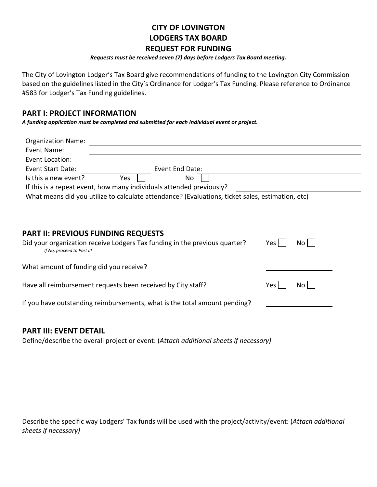# **CITY OF LOVINGTON LODGERS TAX BOARD**

#### **REQUEST FOR FUNDING**

#### *Requests must be received seven (7) days before Lodgers Tax Board meeting.*

The City of Lovington Lodger's Tax Board give recommendations of funding to the Lovington City Commission based on the guidelines listed in the City's Ordinance for Lodger's Tax Funding. Please reference to Ordinance #583 for Lodger's Tax Funding guidelines.

### **PART I: PROJECT INFORMATION**

*A funding application must be completed and submitted for each individual event or project.*

| <b>Organization Name:</b>                                                                                                                             |     |                 |  |                  |                 |  |
|-------------------------------------------------------------------------------------------------------------------------------------------------------|-----|-----------------|--|------------------|-----------------|--|
| Event Name:                                                                                                                                           |     |                 |  |                  |                 |  |
| Event Location:                                                                                                                                       |     |                 |  |                  |                 |  |
| <b>Event Start Date:</b>                                                                                                                              |     | Event End Date: |  |                  |                 |  |
| Is this a new event?                                                                                                                                  | Yes | No              |  |                  |                 |  |
| If this is a repeat event, how many individuals attended previously?                                                                                  |     |                 |  |                  |                 |  |
| What means did you utilize to calculate attendance? (Evaluations, ticket sales, estimation, etc)                                                      |     |                 |  |                  |                 |  |
| <b>PART II: PREVIOUS FUNDING REQUESTS</b><br>Did your organization receive Lodgers Tax funding in the previous quarter?<br>If No, proceed to Part III |     |                 |  | Yes <sub>l</sub> | No <sub>1</sub> |  |
| What amount of funding did you receive?                                                                                                               |     |                 |  |                  |                 |  |
| Have all reimbursement requests been received by City staff?                                                                                          |     |                 |  | Yes l            | No l            |  |
| If you have outstanding reimbursements, what is the total amount pending?                                                                             |     |                 |  |                  |                 |  |
|                                                                                                                                                       |     |                 |  |                  |                 |  |

### **PART III: EVENT DETAIL**

Define/describe the overall project or event: (*Attach additional sheets if necessary)*

Describe the specific way Lodgers' Tax funds will be used with the project/activity/event: (*Attach additional sheets if necessary)*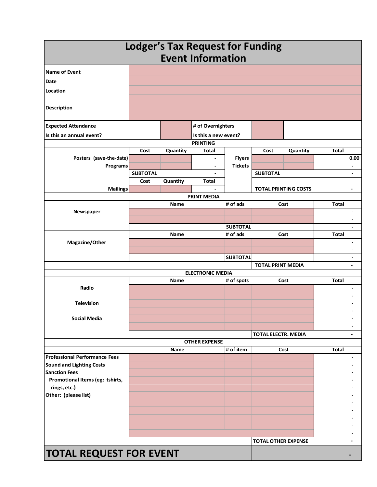| <b>Lodger's Tax Request for Funding</b><br><b>Event Information</b> |                 |             |                                                          |                 |                             |          |              |                                            |
|---------------------------------------------------------------------|-----------------|-------------|----------------------------------------------------------|-----------------|-----------------------------|----------|--------------|--------------------------------------------|
| <b>Name of Event</b>                                                |                 |             |                                                          |                 |                             |          |              |                                            |
| <b>Date</b>                                                         |                 |             |                                                          |                 |                             |          |              |                                            |
| Location                                                            |                 |             |                                                          |                 |                             |          |              |                                            |
|                                                                     |                 |             |                                                          |                 |                             |          |              |                                            |
| <b>Description</b>                                                  |                 |             |                                                          |                 |                             |          |              |                                            |
| <b>Expected Attendance</b>                                          |                 |             | # of Overnighters                                        |                 |                             |          |              |                                            |
| Is this an annual event?                                            |                 |             | Is this a new event?                                     |                 |                             |          |              |                                            |
|                                                                     |                 |             | <b>PRINTING</b>                                          |                 |                             |          |              |                                            |
|                                                                     | Cost            | Quantity    | Total                                                    |                 | Cost                        | Quantity | <b>Total</b> |                                            |
| Posters (save-the-date)                                             |                 |             | $\overline{\phantom{a}}$                                 | <b>Flyers</b>   |                             |          |              | 0.00                                       |
| Programs                                                            | <b>SUBTOTAL</b> |             | $\qquad \qquad \blacksquare$<br>$\overline{\phantom{a}}$ | <b>Tickets</b>  | <b>SUBTOTAL</b>             |          |              | $\overline{\phantom{a}}$<br>$\blacksquare$ |
|                                                                     | Cost            | Quantity    | <b>Total</b>                                             |                 |                             |          |              |                                            |
| <b>Mailings</b>                                                     |                 |             |                                                          |                 | <b>TOTAL PRINTING COSTS</b> |          |              |                                            |
|                                                                     |                 |             | <b>PRINT MEDIA</b>                                       |                 |                             |          |              |                                            |
|                                                                     |                 | <b>Name</b> |                                                          | # of ads        | Cost                        |          | <b>Total</b> |                                            |
| Newspaper                                                           |                 |             |                                                          |                 |                             |          |              |                                            |
|                                                                     |                 |             |                                                          | <b>SUBTOTAL</b> |                             |          |              |                                            |
|                                                                     |                 | <b>Name</b> |                                                          | # of ads        |                             | Cost     | <b>Total</b> |                                            |
| Magazine/Other                                                      |                 |             |                                                          |                 |                             |          |              | $\blacksquare$                             |
|                                                                     |                 |             |                                                          |                 |                             |          |              |                                            |
|                                                                     |                 |             |                                                          | <b>SUBTOTAL</b> |                             |          |              | $\overline{\phantom{a}}$                   |
|                                                                     |                 |             |                                                          |                 | <b>TOTAL PRINT MEDIA</b>    |          |              | $\blacksquare$                             |
|                                                                     |                 | Name        | <b>ELECTRONIC MEDIA</b>                                  | # of spots      |                             | Cost     | <b>Total</b> |                                            |
| Radio                                                               |                 |             |                                                          |                 |                             |          |              | $\overline{\phantom{a}}$                   |
|                                                                     |                 |             |                                                          |                 |                             |          |              |                                            |
| <b>Television</b>                                                   |                 |             |                                                          |                 |                             |          |              |                                            |
|                                                                     |                 |             |                                                          |                 |                             |          |              |                                            |
| <b>Social Media</b>                                                 |                 |             |                                                          |                 |                             |          |              |                                            |
|                                                                     |                 |             |                                                          |                 |                             |          |              | $\blacksquare$                             |
|                                                                     |                 |             | <b>OTHER EXPENSE</b>                                     |                 | <b>TOTAL ELECTR. MEDIA</b>  |          |              |                                            |
|                                                                     |                 | Name        |                                                          | # of item       |                             | Cost     | <b>Total</b> |                                            |
| <b>Professional Performance Fees</b>                                |                 |             |                                                          |                 |                             |          |              | $\overline{\phantom{a}}$                   |
| <b>Sound and Lighting Costs</b>                                     |                 |             |                                                          |                 |                             |          |              |                                            |
| <b>Sanction Fees</b>                                                |                 |             |                                                          |                 |                             |          |              |                                            |
| Promotional Items (eg: tshirts,                                     |                 |             |                                                          |                 |                             |          |              |                                            |
| rings, etc.)<br>Other: (please list)                                |                 |             |                                                          |                 |                             |          |              |                                            |
|                                                                     |                 |             |                                                          |                 |                             |          |              |                                            |
|                                                                     |                 |             |                                                          |                 |                             |          |              |                                            |
|                                                                     |                 |             |                                                          |                 |                             |          |              |                                            |
|                                                                     |                 |             |                                                          |                 |                             |          |              |                                            |
|                                                                     |                 |             |                                                          |                 |                             |          |              |                                            |
|                                                                     |                 |             |                                                          |                 | <b>TOTAL OTHER EXPENSE</b>  |          |              | $\blacksquare$                             |
| <b>TOTAL REQUEST FOR EVENT</b>                                      |                 |             |                                                          |                 |                             |          |              |                                            |